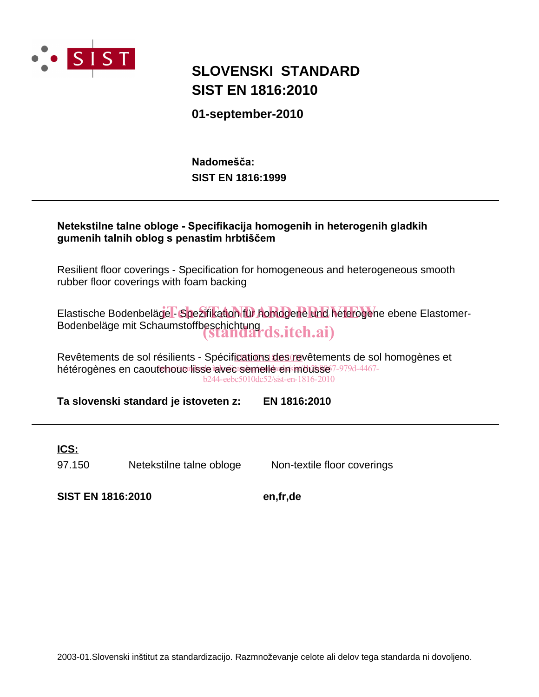

# **SIST EN 1816:2010 SLOVENSKI STANDARD**

**01-september-2010**

**SIST EN 1816:1999** Nadomešča:



Revêtements de sol résilients - Spécifications des revêtements de sol homogènes et hétérogènes en caoutchouc lisse avec semelle en mousse 7-979d-4467b244-eebc5010dc52/sist-en-1816-2010

**Ta slovenski standard je istoveten z: EN 1816:2010**

## **ICS:**

97.150 Netekstilne talne obloge Non-textile floor coverings

**SIST EN 1816:2010 en,fr,de**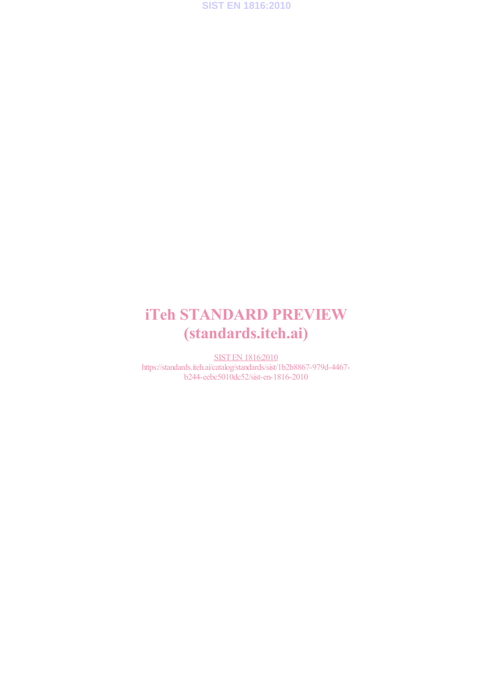

# iTeh STANDARD PREVIEW (standards.iteh.ai)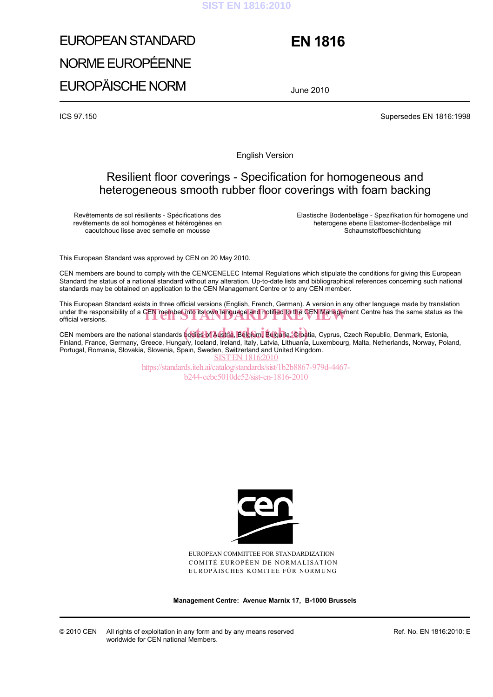#### **SIST EN 1816:2010**

# EUROPEAN STANDARD NORME EUROPÉENNE EUROPÄISCHE NORM

# **EN 1816**

June 2010

ICS 97.150 Supersedes EN 1816:1998

English Version

## Resilient floor coverings - Specification for homogeneous and heterogeneous smooth rubber floor coverings with foam backing

Revêtements de sol résilients - Spécifications des revêtements de sol homogènes et hétérogènes en caoutchouc lisse avec semelle en mousse

 Elastische Bodenbeläge - Spezifikation für homogene und heterogene ebene Elastomer-Bodenbeläge mit Schaumstoffbeschichtung

This European Standard was approved by CEN on 20 May 2010.

CEN members are bound to comply with the CEN/CENELEC Internal Regulations which stipulate the conditions for giving this European Standard the status of a national standard without any alteration. Up-to-date lists and bibliographical references concerning such national standards may be obtained on application to the CEN Management Centre or to any CEN member.

This European Standard exists in three official versions (English, French, German). A version in any other language made by translation under the responsibility of a CEN member into its own language and notified to the CEN Management Centre has the same status as the official versions. official versions.

CEN members are the national standards **bodies of Austria, Belgium, Bulgaria, Cro**atia, Cyprus, Czech Republic, Denmark, Estonia,<br>Finland, France, Cermany, Croose, Hungary, Joeland, Ireland, Italy, Labyja, Lithuania, Luxem Finland, France, Germany, Greece, Hungary, Iceland, Ireland, Italy, Latvia, Lithuania, Luxembourg, Malta, Netherlands, Norway, Poland, Portugal, Romania, Slovakia, Slovenia, Spain, Sweden, Switzerland and United Kingdom. SIST EN 1816:2010

> https://standards.iteh.ai/catalog/standards/sist/1b2b8867-979d-4467 b244-eebc5010dc52/sist-en-1816-2010



EUROPEAN COMMITTEE FOR STANDARDIZATION COMITÉ EUROPÉEN DE NORMALISATION EUROPÄISCHES KOMITEE FÜR NORMUNG

**Management Centre: Avenue Marnix 17, B-1000 Brussels** 

© 2010 CEN All rights of exploitation in any form and by any means reserved worldwide for CEN national Members.

Ref. No. EN 1816:2010: E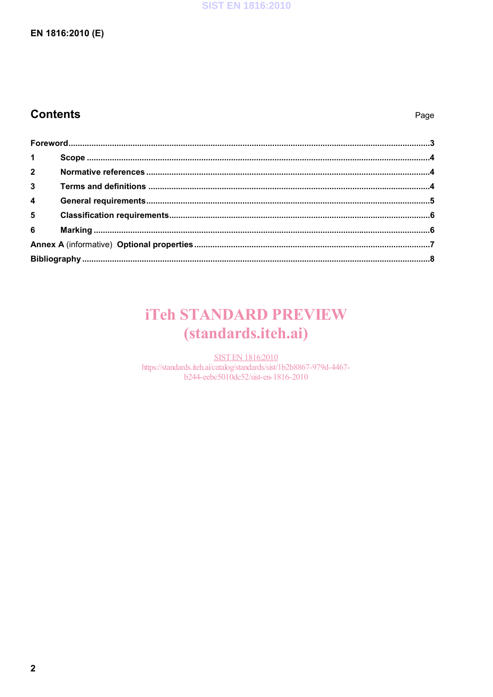#### **SIST EN 1816:2010**

### EN 1816:2010 (E)

# **Contents**

| $1 \quad \blacksquare$ |  |  |  |  |
|------------------------|--|--|--|--|
| $\overline{2}$         |  |  |  |  |
| $3^{\circ}$            |  |  |  |  |
| $\overline{4}$         |  |  |  |  |
| $5^{\circ}$            |  |  |  |  |
| $6\overline{6}$        |  |  |  |  |
|                        |  |  |  |  |
|                        |  |  |  |  |

# **iTeh STANDARD PREVIEW** (standards.iteh.ai)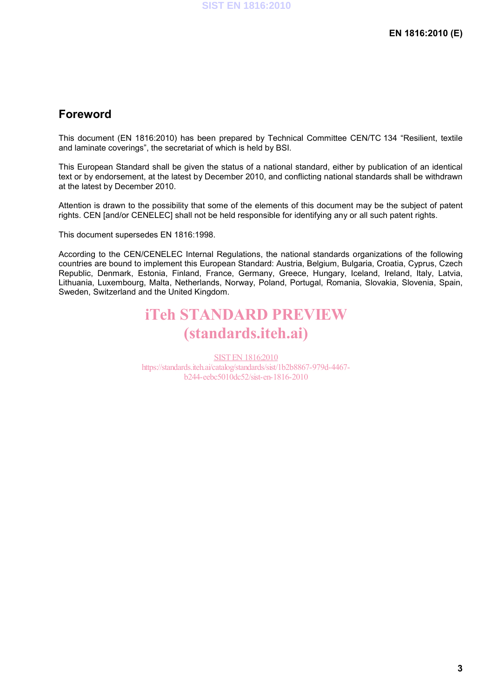## **Foreword**

This document (EN 1816:2010) has been prepared by Technical Committee CEN/TC 134 "Resilient, textile and laminate coverings", the secretariat of which is held by BSI.

This European Standard shall be given the status of a national standard, either by publication of an identical text or by endorsement, at the latest by December 2010, and conflicting national standards shall be withdrawn at the latest by December 2010.

Attention is drawn to the possibility that some of the elements of this document may be the subject of patent rights. CEN [and/or CENELEC] shall not be held responsible for identifying any or all such patent rights.

This document supersedes EN 1816:1998.

According to the CEN/CENELEC Internal Regulations, the national standards organizations of the following countries are bound to implement this European Standard: Austria, Belgium, Bulgaria, Croatia, Cyprus, Czech Republic, Denmark, Estonia, Finland, France, Germany, Greece, Hungary, Iceland, Ireland, Italy, Latvia, Lithuania, Luxembourg, Malta, Netherlands, Norway, Poland, Portugal, Romania, Slovakia, Slovenia, Spain, Sweden, Switzerland and the United Kingdom.

# iTeh STANDARD PREVIEW (standards.iteh.ai)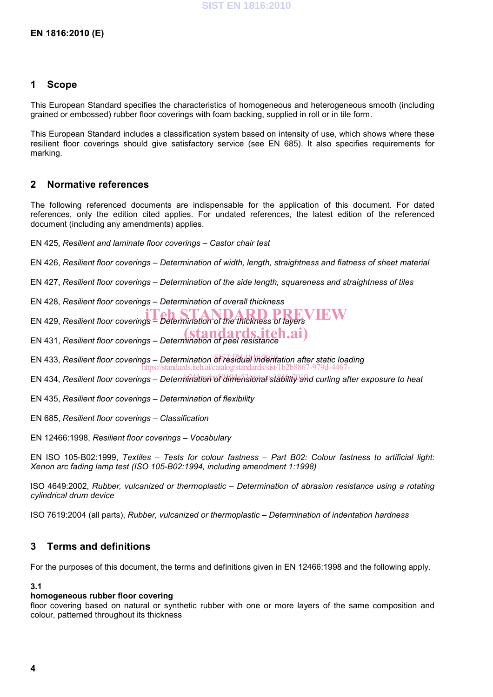#### **1 Scope**

This European Standard specifies the characteristics of homogeneous and heterogeneous smooth (including grained or embossed) rubber floor coverings with foam backing, supplied in roll or in tile form.

This European Standard includes a classification system based on intensity of use, which shows where these resilient floor coverings should give satisfactory service (see EN 685). It also specifies requirements for marking.

#### **2 Normative references**

The following referenced documents are indispensable for the application of this document. For dated references, only the edition cited applies. For undated references, the latest edition of the referenced document (including any amendments) applies.

EN 425, *Resilient and laminate floor coverings – Castor chair test* 

EN 426, *Resilient floor coverings – Determination of width, length, straightness and flatness of sheet material* 

EN 427, *Resilient floor coverings – Determination of the side length, squareness and straightness of tiles*

EN 428, *Resilient floor coverings – Determination of overall thickness*

EN 429, *Resilient floor coverings – Determination of the thickness of layers* 

EN 431, *Resilient floor coverings – Determination of peel resistance* (standards.iteh.ai)

EN 433, *Resilient floor coverings – Determination ef residual indentation after static loading* https://standards.iteh.ai/catalog/standards/sist/1b2b8867-979d-4467-

EN 434, *Resilient floor coverings – Determination of dimensional stability and curling after exposure to heat* 

EN 435, *Resilient floor coverings – Determination of flexibility*

EN 685, *Resilient floor coverings – Classification*

EN 12466:1998, *Resilient floor coverings – Vocabulary*

EN ISO 105-B02:1999, *Textiles – Tests for colour fastness – Part B02: Colour fastness to artificial light: Xenon arc fading lamp test (ISO 105-B02:1994, including amendment 1:1998)*

ISO 4649:2002, *Rubber, vulcanized or thermoplastic – Determination of abrasion resistance using a rotating cylindrical drum device*

ISO 7619:2004 (all parts), *Rubber, vulcanized or thermoplastic – Determination of indentation hardness*

#### **3 Terms and definitions**

For the purposes of this document, the terms and definitions given in EN 12466:1998 and the following apply.

#### **3.1**

#### **homogeneous rubber floor covering**

floor covering based on natural or synthetic rubber with one or more layers of the same composition and colour, patterned throughout its thickness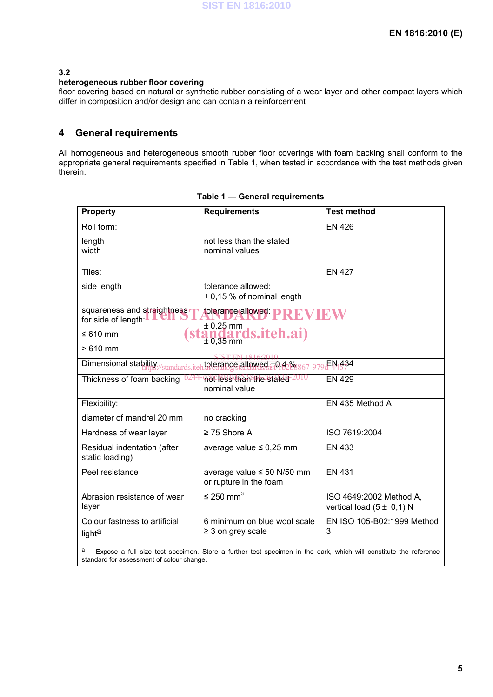#### **3.2**

#### **heterogeneous rubber floor covering**

floor covering based on natural or synthetic rubber consisting of a wear layer and other compact layers which differ in composition and/or design and can contain a reinforcement

### **4 General requirements**

All homogeneous and heterogeneous smooth rubber floor coverings with foam backing shall conform to the appropriate general requirements specified in Table 1, when tested in accordance with the test methods given therein.

| <b>Property</b>                                                                                                                                                    | <b>Requirements</b>                                       | <b>Test method</b>                                       |  |  |  |  |  |
|--------------------------------------------------------------------------------------------------------------------------------------------------------------------|-----------------------------------------------------------|----------------------------------------------------------|--|--|--|--|--|
| Roll form:                                                                                                                                                         |                                                           | <b>EN 426</b>                                            |  |  |  |  |  |
| length<br>width                                                                                                                                                    | not less than the stated<br>nominal values                |                                                          |  |  |  |  |  |
| Tiles:                                                                                                                                                             |                                                           | <b>EN 427</b>                                            |  |  |  |  |  |
| side length                                                                                                                                                        | tolerance allowed:<br>$\pm$ 0,15 % of nominal length      |                                                          |  |  |  |  |  |
| squareness and straightness<br>for side of length:                                                                                                                 | tolerance allowed: <b>PRE</b> N<br>$\pm$ 0,25 mm          |                                                          |  |  |  |  |  |
| $\leq 610$ mm<br>( Si                                                                                                                                              | andards.iteh.ai)                                          |                                                          |  |  |  |  |  |
| $>610$ mm                                                                                                                                                          |                                                           |                                                          |  |  |  |  |  |
| Dimensional stability//standards.ite                                                                                                                               | tolerance allowed ±0.4%867-97                             | EN.434                                                   |  |  |  |  |  |
| Thickness of foam backing                                                                                                                                          | not less than the stated-2010<br>nominal value            | <b>EN 429</b>                                            |  |  |  |  |  |
| Flexibility:                                                                                                                                                       |                                                           | EN 435 Method A                                          |  |  |  |  |  |
| diameter of mandrel 20 mm                                                                                                                                          | no cracking                                               |                                                          |  |  |  |  |  |
| Hardness of wear layer                                                                                                                                             | $\geq$ 75 Shore A                                         | ISO 7619:2004                                            |  |  |  |  |  |
| Residual indentation (after<br>static loading)                                                                                                                     | average value $\leq 0.25$ mm                              | <b>EN 433</b>                                            |  |  |  |  |  |
| Peel resistance                                                                                                                                                    | average value $\leq$ 50 N/50 mm<br>or rupture in the foam | <b>EN 431</b>                                            |  |  |  |  |  |
| Abrasion resistance of wear<br>layer                                                                                                                               | $\leq$ 250 mm <sup>3</sup>                                | ISO 4649:2002 Method A,<br>vertical load $(5 \pm 0,1)$ N |  |  |  |  |  |
| Colour fastness to artificial<br>light <sup>a</sup>                                                                                                                | 6 minimum on blue wool scale<br>$\geq$ 3 on grey scale    | EN ISO 105-B02:1999 Method<br>3                          |  |  |  |  |  |
| а<br>Expose a full size test specimen. Store a further test specimen in the dark, which will constitute the reference<br>standard for assessment of colour change. |                                                           |                                                          |  |  |  |  |  |

#### **Table 1 — General requirements**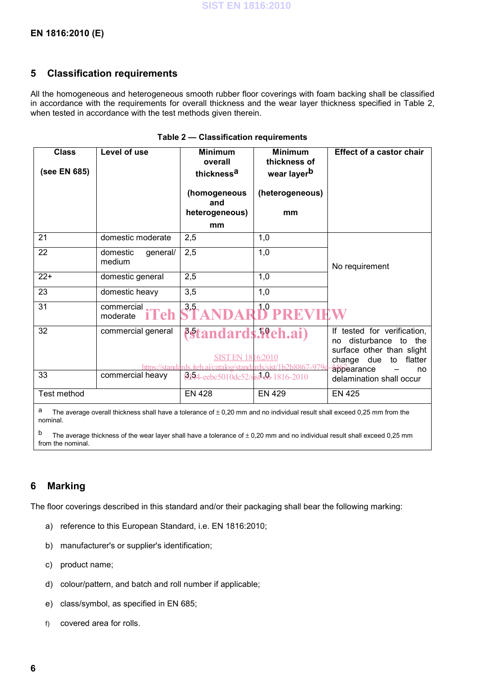### **5 Classification requirements**

All the homogeneous and heterogeneous smooth rubber floor coverings with foam backing shall be classified in accordance with the requirements for overall thickness and the wear layer thickness specified in Table 2, when tested in accordance with the test methods given therein.

| <b>Class</b><br>(see EN 685) | Level of use                           | <b>Minimum</b><br>overall<br>thickness <sup>a</sup><br>(homogeneous<br>and<br>heterogeneous)<br>mm                      | <b>Minimum</b><br>thickness of<br>wear layer <sup>b</sup><br>(heterogeneous)<br>mm | <b>Effect of a castor chair</b>                                                                                                         |
|------------------------------|----------------------------------------|-------------------------------------------------------------------------------------------------------------------------|------------------------------------------------------------------------------------|-----------------------------------------------------------------------------------------------------------------------------------------|
| 21                           | domestic moderate                      | 2,5                                                                                                                     | 1,0                                                                                |                                                                                                                                         |
| 22                           | domestic<br>general/<br>medium         | 2,5                                                                                                                     | 1,0                                                                                | No requirement                                                                                                                          |
| $22+$                        | domestic general                       | 2,5                                                                                                                     | 1,0                                                                                |                                                                                                                                         |
| 23                           | domestic heavy                         | 3,5                                                                                                                     | 1,0                                                                                |                                                                                                                                         |
| 31                           | commercial.<br><b>iTeh</b><br>moderate | 3,5                                                                                                                     | 1,0                                                                                |                                                                                                                                         |
| 32                           | commercial general                     | <i><b>{standards.iteh.ai}</b></i><br>SIST EN 1816:2010<br>https://standards.jteh.aj/catalog/standards/sist/1b2b8867-979 |                                                                                    | If tested for verification,<br>disturbance<br>to<br>the<br>no<br>surface other than slight<br>change due to flatter<br>appearance<br>no |
| 33                           | commercial heavy                       | 6254-eebc5010dc52/sist-en-1816-2010                                                                                     |                                                                                    | delamination shall occur                                                                                                                |
| Test method                  |                                        | <b>EN 428</b>                                                                                                           | <b>EN 429</b>                                                                      | <b>EN 425</b>                                                                                                                           |

#### **Table 2 — Classification requirements**

a The average overall thickness shall have a tolerance of  $\pm$  0,20 mm and no individual result shall exceed 0,25 mm from the nominal.

<sup>b</sup> The average thickness of the wear layer shall have a tolerance of  $\pm$  0,20 mm and no individual result shall exceed 0,25 mm from the nominal.

### **6 Marking**

The floor coverings described in this standard and/or their packaging shall bear the following marking:

- a) reference to this European Standard, i.e. EN 1816:2010;
- b) manufacturer's or supplier's identification;
- c) product name;
- d) colour/pattern, and batch and roll number if applicable;
- e) class/symbol, as specified in EN 685;
- f) covered area for rolls.